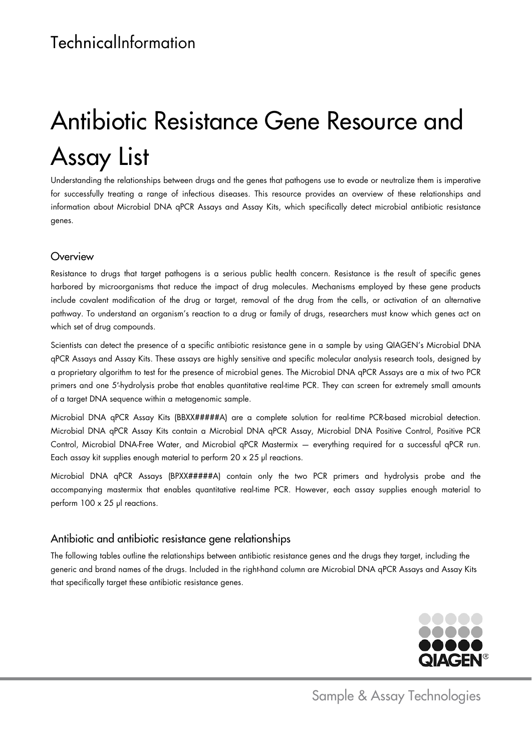# Antibiotic Resistance Gene Resource and Assay List

Understanding the relationships between drugs and the genes that pathogens use to evade or neutralize them is imperative for successfully treating a range of infectious diseases. This resource provides an overview of these relationships and information about Microbial DNA qPCR Assays and Assay Kits, which specifically detect microbial antibiotic resistance genes.

### **Overview**

Resistance to drugs that target pathogens is a serious public health concern. Resistance is the result of specific genes harbored by microorganisms that reduce the impact of drug molecules. Mechanisms employed by these gene products include covalent modification of the drug or target, removal of the drug from the cells, or activation of an alternative pathway. To understand an organism's reaction to a drug or family of drugs, researchers must know which genes act on which set of drug compounds.

Scientists can detect the presence of a specific antibiotic resistance gene in a sample by using QIAGEN's Microbial DNA qPCR Assays and Assay Kits. These assays are highly sensitive and specific molecular analysis research tools, designed by a proprietary algorithm to test for the presence of microbial genes. The Microbial DNA qPCR Assays are a mix of two PCR primers and one 5′-hydrolysis probe that enables quantitative real-time PCR. They can screen for extremely small amounts of a target DNA sequence within a metagenomic sample.

Microbial DNA qPCR Assay Kits (BBXX#####A) are a complete solution for real-time PCR-based microbial detection. Microbial DNA qPCR Assay Kits contain a Microbial DNA qPCR Assay, Microbial DNA Positive Control, Positive PCR Control, Microbial DNA-Free Water, and Microbial qPCR Mastermix — everything required for a successful qPCR run. Each assay kit supplies enough material to perform 20 x 25 μl reactions.

Microbial DNA qPCR Assays (BPXX#####A) contain only the two PCR primers and hydrolysis probe and the accompanying mastermix that enables quantitative real-time PCR. However, each assay supplies enough material to perform 100 x 25 μl reactions.

### Antibiotic and antibiotic resistance gene relationships

The following tables outline the relationships between antibiotic resistance genes and the drugs they target, including the generic and brand names of the drugs. Included in the right-hand column are Microbial DNA qPCR Assays and Assay Kits that specifically target these antibiotic resistance genes.

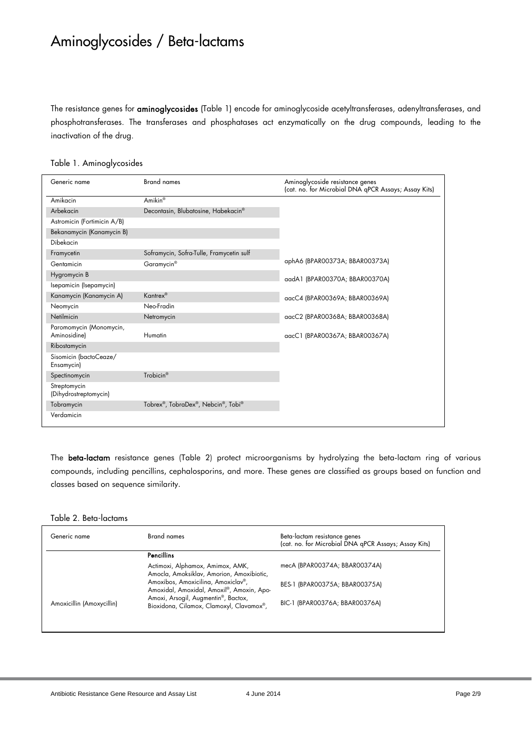### Aminoglycosides / Beta-lactams

The resistance genes for aminoglycosides (Table 1) encode for aminoglycoside acetyltransferases, adenyltransferases, and phosphotransferases. The transferases and phosphatases act enzymatically on the drug compounds, leading to the inactivation of the drug.

|  | Table 1. Aminoglycosides |
|--|--------------------------|
|  |                          |

| Generic name                            | <b>Brand names</b>                       | Aminoglycoside resistance genes<br>(cat. no. for Microbial DNA qPCR Assays; Assay Kits) |
|-----------------------------------------|------------------------------------------|-----------------------------------------------------------------------------------------|
| Amikacin                                | Amikin <sup>®</sup>                      |                                                                                         |
| Arbekacin                               | Decontasin, Blubatosine, Habekacin®      |                                                                                         |
| Astromicin (Fortimicin A/B)             |                                          |                                                                                         |
| Bekanamycin (Kanamycin B)               |                                          |                                                                                         |
| Dibekacin                               |                                          |                                                                                         |
| Framycetin                              | Soframycin, Sofra-Tulle, Framycetin sulf |                                                                                         |
| Gentamicin                              | Garamycin <sup>®</sup>                   | aphA6 (BPAR00373A; BBAR00373A)                                                          |
| Hygromycin B                            |                                          | aadA1 (BPAR00370A; BBAR00370A)                                                          |
| Isepamicin (Isepamycin)                 |                                          |                                                                                         |
| Kanamycin (Kanamycin A)                 | Kantrex <sup>®</sup>                     | aacC4 (BPAR00369A; BBAR00369A)                                                          |
| Neomycin                                | Neo-Fradin                               |                                                                                         |
| Netilmicin                              | Netromycin                               | aacC2 (BPAR00368A; BBAR00368A)                                                          |
| Paromomycin (Monomycin,<br>Aminosidine) | Humatin                                  | aacC1 (BPAR00367A; BBAR00367A)                                                          |
| Ribostamycin                            |                                          |                                                                                         |
| Sisomicin (bactoCeaze/<br>Ensamycin)    |                                          |                                                                                         |
| Spectinomycin                           | Trobicin <sup>®</sup>                    |                                                                                         |
| Streptomycin<br>(Dihydrostreptomycin)   |                                          |                                                                                         |
| Tobramycin                              | Tobrex®, TobraDex®, Nebcin®, Tobi®       |                                                                                         |
| Verdamicin                              |                                          |                                                                                         |

The beta-lactam resistance genes (Table 2) protect microorganisms by hydrolyzing the beta-lactam ring of various compounds, including pencillins, cephalosporins, and more. These genes are classified as groups based on function and classes based on sequence similarity.

#### Table 2. Beta-lactams

| Generic name              | Brand names                                                                     | Beta-lactam resistance genes<br>(cat. no. for Microbial DNA gPCR Assays; Assay Kits) |
|---------------------------|---------------------------------------------------------------------------------|--------------------------------------------------------------------------------------|
|                           | <b>Pencillins</b>                                                               |                                                                                      |
|                           | Actimoxi, Alphamox, Amimox, AMK,<br>Amocla, Amoksiklav, Amorion, Amoxibiotic,   | mecA (BPAR00374A; BBAR00374A)                                                        |
|                           | Amoxibos, Amoxicilina, Amoxiclav®,<br>Amoxidal, Amoxidal, Amoxil®, Amoxin, Apo- | BES-1 (BPAROO375A; BBAROO375A)                                                       |
| Amoxicillin (Amoxycillin) | Amoxi, Arsogil, Augmentin®, Bactox,<br>Bioxidona, Cilamox, Clamoxyl, Clavamox®, | BIC-1 (BPAR00376A; BBAR00376A)                                                       |
|                           |                                                                                 |                                                                                      |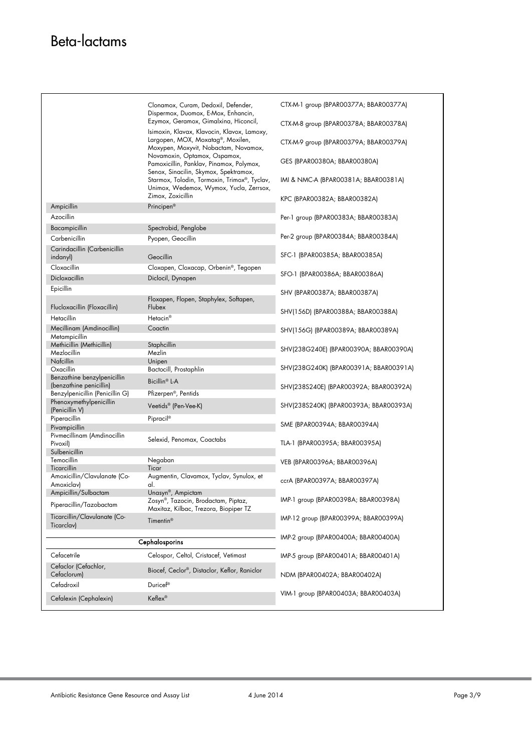|                                            | Clonamox, Curam, Dedoxil, Defender,<br>Dispermox, Duomox, E-Mox, Enhancin,                                        | CTX-M-1 group (BPAR00377A; BBAR00377A) |
|--------------------------------------------|-------------------------------------------------------------------------------------------------------------------|----------------------------------------|
|                                            | Ezymox, Geramox, Gimalxina, Hiconcil,<br>Isimoxin, Klavax, Klavocin, Klavox, Lamoxy,                              | CTX-M-8 group (BPAR00378A; BBAR00378A) |
|                                            | Largopen, MOX, Moxatag®, Moxilen,<br>Moxypen, Moxyvit, Nobactam, Novamox,                                         | CTX-M-9 group (BPAR00379A; BBAR00379A) |
|                                            | Novamoxin, Optamox, Ospamox,<br>Pamoxicillin, Panklav, Pinamox, Polymox,<br>Senox, Sinacilin, Skymox, Spektramox, | GES (BPAROO380A; BBAROO380A)           |
|                                            | Starmox, Tolodin, Tormoxin, Trimox®, Tyclav,<br>Unimox, Wedemox, Wymox, Yucla, Zerrsox,                           | IMI & NMC-A (BPAR00381A; BBAR00381A)   |
|                                            | Zimox, Zoxicillin                                                                                                 | KPC (BPAR00382A; BBAR00382A)           |
| Ampicillin                                 | Principen <sup>®</sup>                                                                                            |                                        |
| Azocillin                                  |                                                                                                                   | Per-1 group (BPAR00383A; BBAR00383A)   |
| Bacampicillin                              | Spectrobid, Penglobe                                                                                              |                                        |
| Carbenicillin                              | Pyopen, Geocillin                                                                                                 | Per-2 group (BPAR00384A; BBAR00384A)   |
| Carindacillin (Carbenicillin<br>indanyl)   | Geocillin                                                                                                         | SFC-1 (BPAR00385A; BBAR00385A)         |
| Cloxacillin                                | Cloxapen, Cloxacap, Orbenin®, Tegopen                                                                             |                                        |
| Dicloxacillin                              | Diclocil, Dynapen                                                                                                 | SFO-1 (BPAR00386A; BBAR00386A)         |
| Epicillin                                  |                                                                                                                   |                                        |
|                                            | Floxapen, Flopen, Staphylex, Softapen,                                                                            | SHV (BPAROO387A; BBAROO387A)           |
| Flucloxacillin (Floxacillin)               | Flubex                                                                                                            | SHV(156D) (BPAROO388A; BBAROO388A)     |
| Hetacillin                                 | Hetacin <sup>®</sup>                                                                                              |                                        |
| Mecillinam (Amdinocillin)                  | Coactin                                                                                                           | SHV(156G) (BPAR00389A; BBAR00389A)     |
| Metampicillin                              |                                                                                                                   |                                        |
| Methicillin (Methicillin)                  | Staphcillin                                                                                                       | SHV(238G240E) (BPAR00390A; BBAR00390A) |
| Mezlocillin<br>Nafcillin                   | Mezlin                                                                                                            |                                        |
| Oxacillin                                  | Unipen<br>Bactocill, Prostaphlin                                                                                  | SHV(238G240K) (BPAR00391A; BBAR00391A) |
| Benzathine benzylpenicillin                |                                                                                                                   |                                        |
| (benzathine penicillin)                    | Bicillin® L-A                                                                                                     | SHV(238S240E) (BPAR00392A; BBAR00392A) |
| Benzylpenicillin (Penicillin G)            | Pfizerpen <sup>®</sup> , Pentids                                                                                  |                                        |
| Phenoxymethylpenicillin<br>(Penicillin V)  | Veetids® (Pen-Vee-K)                                                                                              | SHV(238S240K) (BPAR00393A; BBAR00393A) |
| Piperacillin<br>Pivampicillin              | Pipracil®                                                                                                         | SME (BPAROO394A; BBAROO394A)           |
| Pivmecillinam (Amdinocillin                |                                                                                                                   |                                        |
| Pivoxil)                                   | Selexid, Penomax, Coactabs                                                                                        | TLA-1 (BPAR00395A; BBAR00395A)         |
| Sulbenicillin                              |                                                                                                                   |                                        |
| Temocillin                                 | Negaban                                                                                                           | VEB (BPAR00396A; BBAR00396A)           |
| Ticarcillin                                | Ticar                                                                                                             |                                        |
| Amoxicillin/Clavulanate (Co-<br>Amoxiclav) | Augmentin, Clavamox, Tyclav, Synulox, et<br>al.                                                                   | ccrA (BPAR00397A; BBAR00397A)          |
| Ampicillin/Sulbactam                       | Unasyn®, Ampictam                                                                                                 |                                        |
| Piperacillin/Tazobactam                    | Zosyn®, Tazocin, Brodactam, Piptaz,<br>Maxitaz, Kilbac, Trezora, Biopiper TZ                                      | IMP-1 group (BPAR00398A; BBAR00398A)   |
| Ticarcillin/Clavulanate (Co-<br>Ticarclav) | Timentin <sup>®</sup>                                                                                             | IMP-12 group (BPAR00399A; BBAR00399A)  |
|                                            |                                                                                                                   | IMP-2 group (BPAR00400A; BBAR00400A)   |
|                                            | Cephalosporins                                                                                                    |                                        |
| Cefacetrile<br>Cefaclor (Cefachlor,        | Celospor, Celtol, Cristacef, Vetimast                                                                             | IMP-5 group (BPAR00401A; BBAR00401A)   |
| Cefaclorum)                                | Biocef, Ceclor®, Distaclor, Keflor, Raniclor                                                                      | NDM (BPAR00402A; BBAR00402A)           |
| Cefadroxil                                 | Duricef®                                                                                                          |                                        |
| Cefalexin (Cephalexin)                     | Keflex®                                                                                                           | VIM-1 group (BPAR00403A; BBAR00403A)   |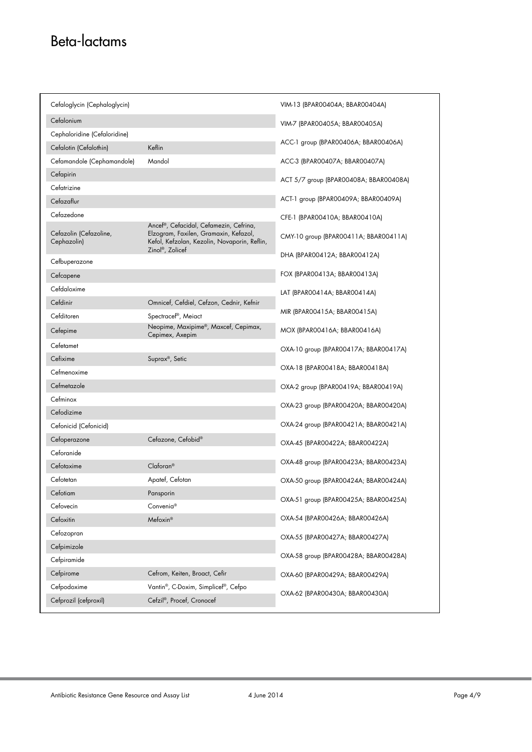# Beta-lactams

| Cefaloglycin (Cephaloglycin)          |                                                                                                                                                                 | VIM-13 (BPAROO4O4A; BBAROO4O4A)        |
|---------------------------------------|-----------------------------------------------------------------------------------------------------------------------------------------------------------------|----------------------------------------|
| Cefalonium                            |                                                                                                                                                                 | VIM-7 (BPAR00405A; BBAR00405A)         |
| Cephaloridine (Cefaloridine)          |                                                                                                                                                                 |                                        |
| Cefalotin (Cefalothin)                | Keflin                                                                                                                                                          | ACC-1 group (BPAR00406A; BBAR00406A)   |
| Cefamandole (Cephamandole)            | Mandol                                                                                                                                                          | ACC-3 (BPAR00407A; BBAR00407A)         |
| Cefapirin                             |                                                                                                                                                                 | ACT 5/7 group (BPAR00408A; BBAR00408A) |
| Cefatrizine                           |                                                                                                                                                                 |                                        |
| Cefazaflur                            |                                                                                                                                                                 | ACT-1 group (BPAR00409A; BBAR00409A)   |
| Cefazedone                            |                                                                                                                                                                 | CFE-1 (BPAROO410A; BBAROO410A)         |
| Cefazolin (Cefazoline,<br>Cephazolin) | Ancef®, Cefacidal, Cefamezin, Cefrina,<br>Elzogram, Faxilen, Gramaxin, Kefazol,<br>Kefol, Kefzolan, Kezolin, Novaporin, Reflin,<br>Zinol <sup>®</sup> , Zolicef | CMY-10 group (BPAR00411A; BBAR00411A)  |
| Cefbuperazone                         |                                                                                                                                                                 | DHA (BPAROO412A; BBAROO412A)           |
| Cefcapene                             |                                                                                                                                                                 | FOX (BPAR00413A; BBAR00413A)           |
| Cefdaloxime                           |                                                                                                                                                                 | LAT (BPAROO414A; BBAROO414A)           |
| Cefdinir                              | Omnicef, Cefdiel, Cefzon, Cednir, Kefnir                                                                                                                        |                                        |
| Cefditoren                            | Spectracef®, Meiact                                                                                                                                             | MIR (BPAROO415A; BBAROO415A)           |
| Cefepime                              | Neopime, Maxipime®, Maxcef, Cepimax,<br>Cepimex, Axepim                                                                                                         | MOX (BPAR00416A; BBAR00416A)           |
| Cefetamet                             |                                                                                                                                                                 | OXA-10 group (BPAR00417A; BBAR00417A)  |
| Cefixime                              | Suprax <sup>®</sup> , Setic                                                                                                                                     |                                        |
| Cefmenoxime                           |                                                                                                                                                                 | OXA-18 (BPAR00418A; BBAR00418A)        |
| Cefmetazole                           |                                                                                                                                                                 | OXA-2 group (BPAR00419A; BBAR00419A)   |
| Cefminox                              |                                                                                                                                                                 | OXA-23 group (BPAR00420A; BBAR00420A)  |
| Cefodizime                            |                                                                                                                                                                 |                                        |
| Cefonicid (Cefonicid)                 |                                                                                                                                                                 | OXA-24 group (BPAR00421A; BBAR00421A)  |
| Cefoperazone                          | Cefazone, Cefobid®                                                                                                                                              | OXA-45 (BPAR00422A; BBAR00422A)        |
| Ceforanide                            |                                                                                                                                                                 |                                        |
| Cefotaxime                            | Claforan®                                                                                                                                                       | OXA-48 group (BPAR00423A; BBAR00423A)  |
| Cefotetan                             | Apatef, Cefotan                                                                                                                                                 | OXA-50 group (BPAR00424A; BBAR00424A)  |
| Cefotiam                              | Pansporin                                                                                                                                                       | OXA-51 group (BPAR00425A; BBAR00425A)  |
| Cefovecin                             | Convenia <sup>®</sup>                                                                                                                                           |                                        |
| Cefoxitin                             | Mefoxin®                                                                                                                                                        | OXA-54 (BPAR00426A; BBAR00426A)        |
| Cefozopran                            |                                                                                                                                                                 | OXA-55 (BPAR00427A; BBAR00427A)        |
| Cefpimizole                           |                                                                                                                                                                 |                                        |
| Cefpiramide                           |                                                                                                                                                                 | OXA-58 group (BPAR00428A; BBAR00428A)  |
| Cefpirome                             | Cefrom, Keiten, Broact, Cefir                                                                                                                                   | OXA-60 (BPAR00429A; BBAR00429A)        |
| Cefpodoxime                           | Vantin®, C-Doxim, Simplicef®, Cefpo                                                                                                                             | OXA-62 (BPAR00430A; BBAR00430A)        |
| Cefprozil (cefproxil)                 | Cefzil®, Procef, Cronocef                                                                                                                                       |                                        |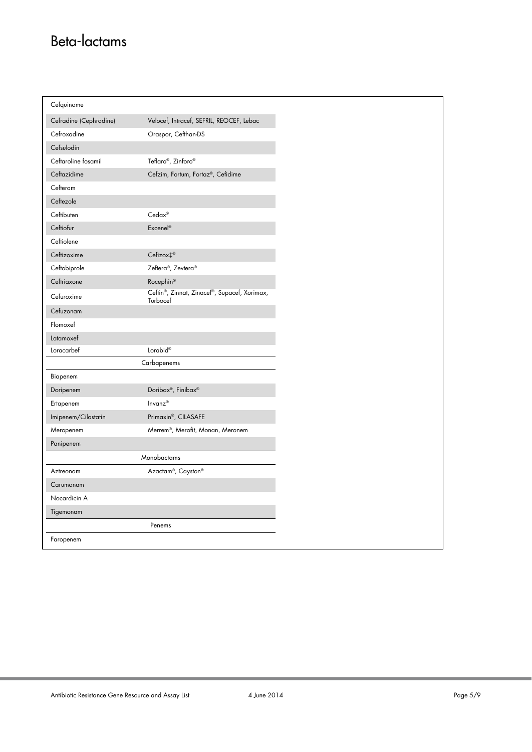# Beta-lactams

r

| Cefquinome             |                                                          |
|------------------------|----------------------------------------------------------|
| Cefradine (Cephradine) | Velocef, Intracef, SEFRIL, REOCEF, Lebac                 |
| Cefroxadine            | Oraspor, Cefthan-DS                                      |
| Cefsulodin             |                                                          |
| Ceftaroline fosamil    | Teflaro®, Zinforo®                                       |
| Ceftazidime            | Cefzim, Fortum, Fortaz®, Cefidime                        |
| Cefteram               |                                                          |
| Ceftezole              |                                                          |
| Ceftibuten             | Cedax®                                                   |
| Ceftiofur              | Excenel <sup>®</sup>                                     |
| Ceftiolene             |                                                          |
| Ceftizoxime            | Cefizox <sup>+®</sup>                                    |
| Ceftobiprole           | Zeftera®, Zevtera®                                       |
| Ceftriaxone            | Rocephin®                                                |
| Cefuroxime             | Ceftin®, Zinnat, Zinacef®, Supacef, Xorimax,<br>Turbocef |
| Cefuzonam              |                                                          |
| Flomoxef               |                                                          |
| Latamoxef              |                                                          |
| Loracarbef             | Lorabid®                                                 |
|                        | Carbapenems                                              |
| Biapenem               |                                                          |
| Doripenem              | Doribax®, Finibax®                                       |
| Ertapenem              | Invanz®                                                  |
| Imipenem/Cilastatin    | Primaxin®, CILASAFE                                      |
| Meropenem              | Merrem®, Merofit, Monan, Meronem                         |
| Panipenem              |                                                          |
|                        | Monobactams                                              |
| Aztreonam              | Azactam®, Cayston®                                       |
| Carumonam              |                                                          |
| Nocardicin A           |                                                          |
| Tigemonam              |                                                          |
|                        | Penems                                                   |
| Faropenem              |                                                          |
|                        |                                                          |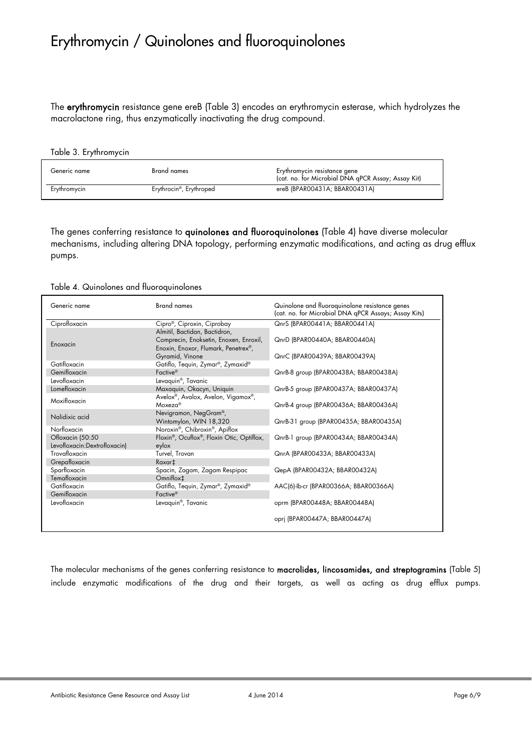### Erythromycin / Quinolones and fluoroquinolones

The erythromycin resistance gene ereB (Table 3) encodes an erythromycin esterase, which hydrolyzes the macrolactone ring, thus enzymatically inactivating the drug compound.

#### Table 3. Erythromycin

| Generic name | Brand names                          | Erythromycin resistance gene<br>(cat. no. for Microbial DNA gPCR Assay; Assay Kit) |
|--------------|--------------------------------------|------------------------------------------------------------------------------------|
| Erythromycin | Erythrocin <sup>®</sup> , Erythroped | ereB (BPAR00431A; BBAR00431A)                                                      |

The genes conferring resistance to quinolones and fluoroquinolones (Table 4) have diverse molecular mechanisms, including altering DNA topology, performing enzymatic modifications, and acting as drug efflux pumps.

#### Table 4. Quinolones and fluoroquinolones

| Generic name                 | <b>Brand names</b>                               | Quinolone and fluoroquinolone resistance genes<br>(cat. no. for Microbial DNA qPCR Assays; Assay Kits) |
|------------------------------|--------------------------------------------------|--------------------------------------------------------------------------------------------------------|
| Ciprofloxacin                | Cipro®, Ciproxin, Ciprobay                       | QnrS (BPAR00441A; BBAR00441A)                                                                          |
|                              | Almitil, Bactidan, Bactidron,                    |                                                                                                        |
| Enoxacin                     | Comprecin, Enoksetin, Enoxen, Enroxil,           | QnrD (BPAR00440A; BBAR00440A)                                                                          |
|                              | Enoxin, Enoxor, Flumark, Penetrex <sup>®</sup> , |                                                                                                        |
|                              | Gyramid, Vinone                                  | QnrC (BPAR00439A; BBAR00439A)                                                                          |
| Gatifloxacin                 | Gatiflo, Tequin, Zymar®, Zymaxid®                |                                                                                                        |
| Gemifloxacin                 | Factive <sup>®</sup>                             | QnrB-8 group (BPAR00438A; BBAR00438A)                                                                  |
| Levofloxacin                 | Levaquin <sup>®</sup> , Tavanic                  |                                                                                                        |
| Lomefloxacin                 | Maxaquin, Okacyn, Uniquin                        | QnrB-5 group (BPAR00437A; BBAR00437A)                                                                  |
| Moxifloxacin                 | Avelox®, Avalox, Avelon, Vigamox®,               |                                                                                                        |
|                              | $Moxeza^{\circledcirc}$                          | QnrB-4 group (BPAR00436A; BBAR00436A)                                                                  |
| Nalidixic acid               | Nevigramon, NegGram <sup>®</sup> ,               |                                                                                                        |
|                              | Wintomylon, WIN 18,320                           | QnrB-31 group (BPAR00435A; BBAR00435A)                                                                 |
| Norfloxacin                  | Noroxin®, Chibroxin®, Apiflox                    |                                                                                                        |
| Ofloxacin (50:50             | Floxin®, Ocuflox®, Floxin Otic, Optiflox,        | QnrB-1 group (BPAR00434A; BBAR00434A)                                                                  |
| Levofloxacin:Dextrofloxacin) | eylox                                            |                                                                                                        |
| Trovafloxacin                | Turvel, Trovan                                   | QnrA (BPAR00433A; BBAR00433A)                                                                          |
| Grepafloxacin                | Raxar <sup>#</sup>                               |                                                                                                        |
| Sparfloxacin                 | Spacin, Zagam, Zagam Respipac                    | QepA (BPAR00432A; BBAR00432A)                                                                          |
| Temafloxacin                 | Omniflox <sup>+</sup>                            |                                                                                                        |
| Gatifloxacin                 | Gatiflo, Tequin, Zymar®, Zymaxid®                | AAC(6)-Ib-cr (BPAR00366A; BBAR00366A)                                                                  |
| Gemifloxacin                 | Factive <sup>®</sup>                             |                                                                                                        |
| Levofloxacin                 | Levaquin <sup>®</sup> , Tavanic                  | oprm (BPAR00448A; BBAR00448A)                                                                          |
|                              |                                                  |                                                                                                        |
|                              |                                                  | opri (BPAR00447A; BBAR00447A)                                                                          |
|                              |                                                  |                                                                                                        |

The molecular mechanisms of the genes conferring resistance to macrolides, lincosamides, and streptogramins (Table 5) include enzymatic modifications of the drug and their targets, as well as acting as drug efflux pumps.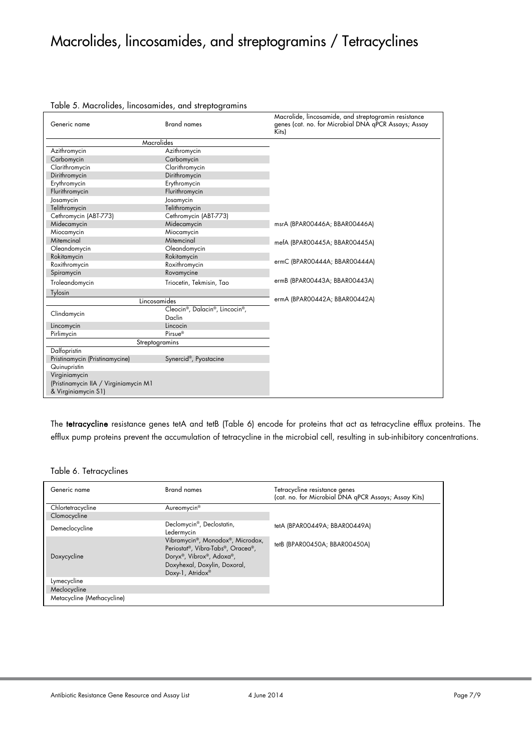## Macrolides, lincosamides, and streptogramins / Tetracyclines

| Generic name                          | <b>Brand names</b>             | Macrolide, lincosamide, and streptogramin resistance<br>genes (cat. no. for Microbial DNA gPCR Assays; Assay<br>Kits) |
|---------------------------------------|--------------------------------|-----------------------------------------------------------------------------------------------------------------------|
| Macrolides                            |                                |                                                                                                                       |
| Azithromycin                          | Azithromycin                   |                                                                                                                       |
| Carbomycin                            | Carbomycin                     |                                                                                                                       |
| Clarithromycin                        | Clarithromycin                 |                                                                                                                       |
| Dirithromycin                         | Dirithromycin                  |                                                                                                                       |
| Erythromycin                          | Erythromycin                   |                                                                                                                       |
| Flurithromycin                        | Flurithromycin                 |                                                                                                                       |
| Josamycin                             | Josamycin                      |                                                                                                                       |
| Telithromycin                         | Telithromycin                  |                                                                                                                       |
| Cethromycin (ABT-773)                 | Cethromycin (ABT-773)          |                                                                                                                       |
| Midecamycin                           | Midecamycin                    | msrA (BPAR00446A; BBAR00446A)                                                                                         |
| Miocamycin                            | Miocamycin                     |                                                                                                                       |
| Mitemcinal                            | Mitemcinal                     | mefA (BPAR00445A; BBAR00445A)                                                                                         |
| Oleandomycin                          | Oleandomycin                   |                                                                                                                       |
| Rokitamycin                           | Rokitamycin                    | ermC (BPAR00444A; BBAR00444A)                                                                                         |
| Roxithromycin                         | Roxithromycin                  |                                                                                                                       |
| Spiramycin                            | Rovamycine                     |                                                                                                                       |
| Troleandomycin                        | Triocetin, Tekmisin, Tao       | ermB (BPAR00443A; BBAR00443A)                                                                                         |
| Tylosin                               |                                |                                                                                                                       |
|                                       | Lincosamides                   | ermA (BPAR00442A; BBAR00442A)                                                                                         |
|                                       | Cleocin®, Dalacin®, Lincocin®, |                                                                                                                       |
| Clindamycin                           | Daclin                         |                                                                                                                       |
| Lincomycin                            | Lincocin                       |                                                                                                                       |
| Pirlimycin                            | Pirsue®                        |                                                                                                                       |
| Streptogramins                        |                                |                                                                                                                       |
| Dalfopristin                          |                                |                                                                                                                       |
| Pristinamycin (Pristinamycine)        | Synercid®, Pyostacine          |                                                                                                                       |
| Quinupristin                          |                                |                                                                                                                       |
| Virginiamycin                         |                                |                                                                                                                       |
| (Pristinamycin IIA / Virginiamycin M1 |                                |                                                                                                                       |
| & Virginiamycin S1)                   |                                |                                                                                                                       |

#### Table 5. Macrolides, lincosamides, and streptogramins

The tetracycline resistance genes tetA and tetB (Table 6) encode for proteins that act as tetracycline efflux proteins. The efflux pump proteins prevent the accumulation of tetracycline in the microbial cell, resulting in sub-inhibitory concentrations.

#### Table 6. Tetracyclines

| Generic name               | <b>Brand names</b>                                                                                                                                    | Tetracycline resistance genes<br>(cat. no. for Microbial DNA qPCR Assays; Assay Kits) |
|----------------------------|-------------------------------------------------------------------------------------------------------------------------------------------------------|---------------------------------------------------------------------------------------|
| Chlortetracycline          | Aureomycin <sup>®</sup>                                                                                                                               |                                                                                       |
| Clomocycline               |                                                                                                                                                       |                                                                                       |
| Demeclocycline             | Declomycin <sup>®</sup> , Declostatin,<br>Ledermycin                                                                                                  | tetA (BPAR00449A; BBAR00449A)                                                         |
| Doxycycline                | Vibramycin®, Monodox®, Microdox,<br>Periostat®, Vibra-Tabs®, Oracea®,<br>Doryx®, Vibrox®, Adoxa®,<br>Doxyhexal, Doxylin, Doxoral,<br>Doxy-1, Atridox® | tetB (BPAR00450A; BBAR00450A)                                                         |
| Lymecycline                |                                                                                                                                                       |                                                                                       |
| Meclocycline               |                                                                                                                                                       |                                                                                       |
| Metacycline (Methacycline) |                                                                                                                                                       |                                                                                       |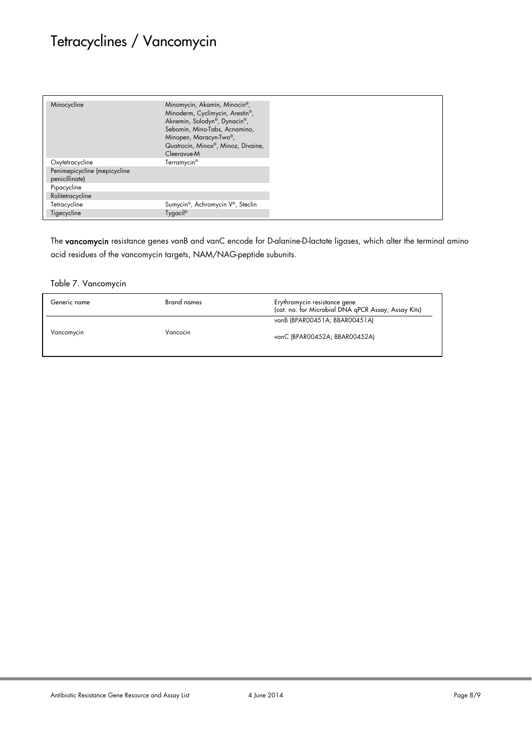# Tetracyclines / Vancomycin

The vancomycin resistance genes vanB and vanC encode for D-alanine-D-lactate ligases, which alter the terminal amino acid residues of the vancomycin targets, NAM/NAG-peptide subunits.

Table 7. Vancomycin

| Generic name | Brand names | Erythromycin resistance gene<br>(cat. no. for Microbial DNA qPCR Assay; Assay Kits) |
|--------------|-------------|-------------------------------------------------------------------------------------|
|              |             | vanB (BPAR00451A; BBAR00451A)                                                       |
| Vancomycin   | Vancocin    | vanC (BPAR00452A; BBAR00452A)                                                       |